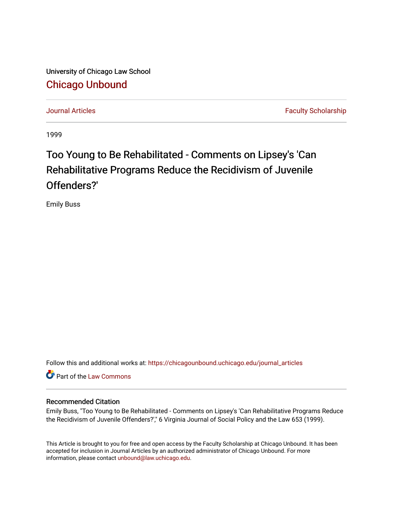University of Chicago Law School [Chicago Unbound](https://chicagounbound.uchicago.edu/)

[Journal Articles](https://chicagounbound.uchicago.edu/journal_articles) **Faculty Scholarship Journal Articles** 

1999

# Too Young to Be Rehabilitated - Comments on Lipsey's 'Can Rehabilitative Programs Reduce the Recidivism of Juvenile Offenders?'

Emily Buss

Follow this and additional works at: [https://chicagounbound.uchicago.edu/journal\\_articles](https://chicagounbound.uchicago.edu/journal_articles?utm_source=chicagounbound.uchicago.edu%2Fjournal_articles%2F1078&utm_medium=PDF&utm_campaign=PDFCoverPages) 

Part of the [Law Commons](http://network.bepress.com/hgg/discipline/578?utm_source=chicagounbound.uchicago.edu%2Fjournal_articles%2F1078&utm_medium=PDF&utm_campaign=PDFCoverPages)

# Recommended Citation

Emily Buss, "Too Young to Be Rehabilitated - Comments on Lipsey's 'Can Rehabilitative Programs Reduce the Recidivism of Juvenile Offenders?'," 6 Virginia Journal of Social Policy and the Law 653 (1999).

This Article is brought to you for free and open access by the Faculty Scholarship at Chicago Unbound. It has been accepted for inclusion in Journal Articles by an authorized administrator of Chicago Unbound. For more information, please contact [unbound@law.uchicago.edu](mailto:unbound@law.uchicago.edu).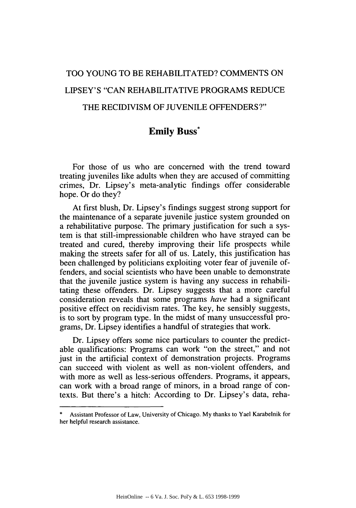# TOO YOUNG TO BE REHABILITATED? COMMENTS ON LIPSEY'S "CAN REHABILITATIVE PROGRAMS REDUCE THE RECIDIVISM OF JUVENILE OFFENDERS?"

# **Emily Buss\***

For those of us who are concerned with the trend toward treating juveniles like adults when they are accused of committing crimes, Dr. Lipsey's meta-analytic findings offer considerable hope. Or do they?

At first blush, Dr. Lipsey's findings suggest strong support for the maintenance of a separate juvenile justice system grounded on a rehabilitative purpose. The primary justification for such a system is that still-impressionable children who have strayed can be treated and cured, thereby improving their life prospects while making the streets safer for all of us. Lately, this justification has been challenged by politicians exploiting voter fear of juvenile offenders, and social scientists who have been unable to demonstrate that the juvenile justice system is having any success in rehabilitating these offenders. Dr. Lipsey suggests that a more careful consideration reveals that some programs *have* had a significant positive effect on recidivism rates. The key, he sensibly suggests, is to sort by program type. In the midst of many unsuccessful programs, Dr. Lipsey identifies a handful of strategies that work.

Dr. Lipsey offers some nice particulars to counter the predictable qualifications: Programs can work "on the street," and not just in the artificial context of demonstration projects. Programs can succeed with violent as well as non-violent offenders, and with more as well as less-serious offenders. Programs, it appears, can work with a broad range of minors, in a broad range of contexts. But there's a hitch: According to Dr. Lipsey's data, reha-

Assistant Professor of Law, University of Chicago. My thanks to Yael Karabelnik for her helpful research assistance.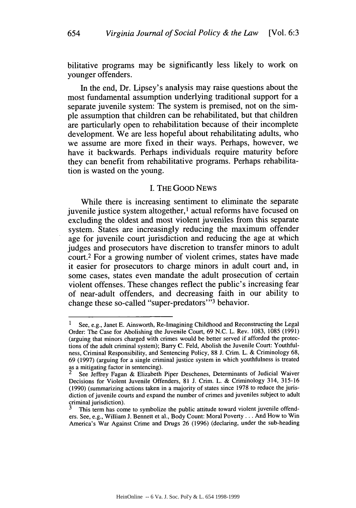bilitative programs may be significantly less likely to work on younger offenders.

In the end, Dr. Lipsey's analysis may raise questions about the most fundamental assumption underlying traditional support for a separate juvenile system: The system is premised, not on the simple assumption that children can be rehabilitated, but that children are particularly open to rehabilitation because of their incomplete development. We are less hopeful about rehabilitating adults, who we assume are more fixed in their ways. Perhaps, however, we have it backwards. Perhaps individuals require maturity before they can benefit from rehabilitative programs. Perhaps rehabilitation is wasted on the young.

### I. THE GOOD **NEWS**

While there is increasing sentiment to eliminate the separate juvenile justice system altogether, ' actual reforms have focused on excluding the oldest and most violent juveniles from this separate system. States are increasingly reducing the maximum offender age for juvenile court jurisdiction and reducing the age at which judges and prosecutors have discretion to transfer minors to adult court.2 For a growing number of violent crimes, states have made it easier for prosecutors to charge minors in adult court and, in some cases, states even mandate the adult prosecution of certain violent offenses. These changes reflect the public's increasing fear of near-adult offenders, and decreasing faith in our ability to change these so-called "super-predators"<sup>3</sup> behavior.

<sup>1</sup> See, e.g., Janet E. Ainsworth, Re-Imagining Childhood and Reconstructing the Legal Order: The Case for Abolishing the Juvenile Court, 69 N.C. L. Rev. 1083, 1085 (1991) (arguing that minors charged with crimes would be better served if afforded the protections of the adult criminal system); Barry C. Feld, Abolish the Juvenile Court: Youthfulness, Criminal Responsibility, and Sentencing Policy, 88 J. Crim. L. & Criminology 68, 69 (1997) (arguing for a single criminal justice system in which youthfulness is treated as a mitigating factor in sentencing).

See Jeffrey Fagan & Elizabeth Piper Deschenes, Determinants of Judicial Waiver Decisions for Violent Juvenile Offenders, 81 J. Crim. L. & Criminology 314, 315-16 (1990) (summarizing actions taken in a majority of states since 1978 to reduce the jurisdiction of juvenile courts and expand the number of crimes and juveniles subject to adult criminal jurisdiction). **3** This term has come to symbolize the public attitude toward violent juvenile offend-

ers. See, e.g., William J. Bennett et al., Body Count: Moral Poverty... And How to Win America's War Against Crime and Drugs 26 (1996) (declaring, under the sub-heading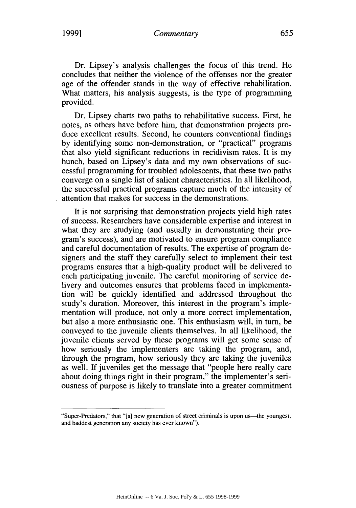Dr. Lipsey's analysis challenges the focus of this trend. He concludes that neither the violence of the offenses nor the greater age of the offender stands in the way of effective rehabilitation. What matters, his analysis suggests, is the type of programming provided.

Dr. Lipsey charts two paths to rehabilitative success. First, he notes, as others have before him, that demonstration projects produce excellent results. Second, he counters conventional findings by identifying some non-demonstration, or "practical" programs that also yield significant reductions in recidivism rates. It is my hunch, based on Lipsey's data and my own observations of successful programming for troubled adolescents, that these two paths converge on a single list of salient characteristics. In all likelihood, the successful practical programs capture much of the intensity of attention that makes for success in the demonstrations.

It is not surprising that demonstration projects yield high rates of success. Researchers have considerable expertise and interest in what they are studying (and usually in demonstrating their program's success), and are motivated to ensure program compliance and careful documentation of results. The expertise of program designers and the staff they carefully select to implement their test programs ensures that a high-quality product will be delivered to each participating juvenile. The careful monitoring of service delivery and outcomes ensures that problems faced in implementation will be quickly identified and addressed throughout the study's duration. Moreover, this interest in the program's implementation will produce, not only a more correct implementation, but also a more enthusiastic one. This enthusiasm will, in turn, be conveyed to the juvenile clients themselves. In all likelihood, the juvenile clients served by these programs will get some sense of how seriously the implementers are taking the program, and, through the program, how seriously they are taking the juveniles as well. If juveniles get the message that "people here really care about doing things right in their program," the implementer's seriousness of purpose is likely to translate into a greater commitment

<sup>&</sup>quot;Super-Predators," that "[a] new generation of street criminals is upon us—the youngest, and baddest generation any society has ever known").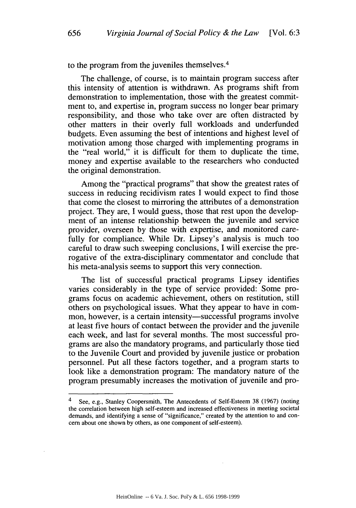to the program from the juveniles themselves. <sup>4</sup>

The challenge, of course, is to maintain program success after this intensity of attention is withdrawn. As programs shift from demonstration to implementation, those with the greatest commitment to, and expertise in, program success no longer bear primary responsibility, and those who take over are often distracted by other matters in their overly full workloads and underfunded budgets. Even assuming the best of intentions and highest level of motivation among those charged with implementing programs in the "real world," it is difficult for them to duplicate the time, money and expertise available to the researchers who conducted the original demonstration.

Among the "practical programs" that show the greatest rates of success in reducing recidivism rates I would expect to find those that come the closest to mirroring the attributes of a demonstration project. They are, I would guess, those that rest upon the development of an intense relationship between the juvenile and service provider, overseen by those with expertise, and monitored carefully for compliance. While Dr. Lipsey's analysis is much too careful to draw such sweeping conclusions, I will exercise the prerogative of the extra-disciplinary commentator and conclude that his meta-analysis seems to support this very connection.

The list of successful practical programs Lipsey identifies varies considerably in the type of service provided: Some programs focus on academic achievement, others on restitution, still others on psychological issues. What they appear to have in common, however, is a certain intensity—successful programs involve at least five hours of contact between the provider and the juvenile each week, and last for several months. The most successful programs are also the mandatory programs, and particularly those tied to the Juvenile Court and provided by juvenile justice or probation personnel. Put all these factors together, and a program starts to look like a demonstration program: The mandatory nature of the program presumably increases the motivation of juvenile and pro-

**656**

See, e.g., Stanley Coopersmith, The Antecedents of Self-Esteem 38 (1967) (noting the correlation between high self-esteem and increased effectiveness in meeting societal demands, and identifying a sense of "significance," created by the attention to and concern about one shown by others, as one component of self-esteem).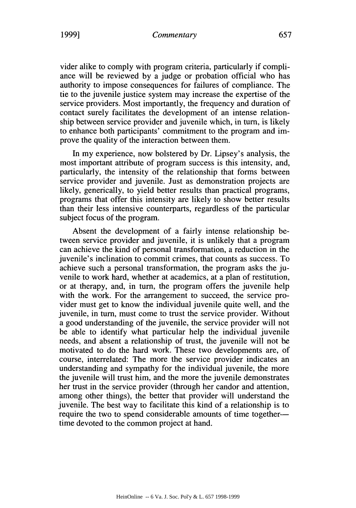**1999]**

vider alike to comply with program criteria, particularly if compliance will be reviewed by a judge or probation official who has authority to impose consequences for failures of compliance. The tie to the juvenile justice system may increase the expertise of the service providers. Most importantly, the frequency and duration of contact surely facilitates the development of an intense relationship between service provider and juvenile which, in turn, is likely to enhance both participants' commitment to the program and improve the quality of the interaction between them.

In my experience, now bolstered by Dr. Lipsey's analysis, the most important attribute of program success is this intensity, and, particularly, the intensity of the relationship that forms between service provider and juvenile. Just as demonstration projects are likely, generically, to yield better results than practical programs, programs that offer this intensity are likely to show better results than their less intensive counterparts, regardless of the particular subject focus of the program.

Absent the development of a fairly intense relationship between service provider and juvenile, it is unlikely that a program can achieve the kind of personal transformation, a reduction in the juvenile's inclination to commit crimes, that counts as success. To achieve such a personal transformation, the program asks the juvenile to work hard, whether at academics, at a plan of restitution, or at therapy, and, in turn, the program offers the juvenile help with the work. For the arrangement to succeed, the service provider must get to know the individual juvenile quite well, and the juvenile, in turn, must come to trust the service provider. Without a good understanding of the juvenile, the service provider will not be able to identify what particular help the individual juvenile needs, and absent a relationship of trust, the juvenile will not be motivated to do the hard work. These two developments are, of course, interrelated: The more the service provider indicates an understanding and sympathy for the individual juvenile, the more the juvenile will trust him, and the more the juvenile demonstrates her trust in the service provider (through her candor and attention, among other things), the better that provider will understand the juvenile. The best way to facilitate this kind of a relationship is to require the two to spend considerable amounts of time togethertime devoted to the common project at hand.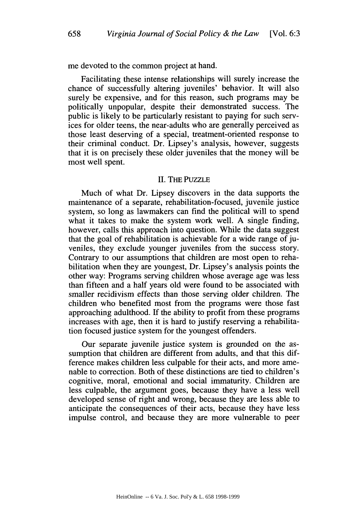me devoted to the common project at hand.

Facilitating these intense relationships will surely increase the chance of successfully altering juveniles' behavior. It will also surely be expensive, and for this reason, such programs may be politically unpopular, despite their demonstrated success. The public is likely to be particularly resistant to paying for such services for older teens, the near-adults who are generally perceived as those least deserving of a special, treatment-oriented response to their criminal conduct. Dr. Lipsey's analysis, however, suggests that it is on precisely these older juveniles that the money will be most well spent.

#### II. THE PUZZLE

Much of what Dr. Lipsey discovers in the data supports the maintenance of a separate, rehabilitation-focused, juvenile justice system, so long as lawmakers can find the political will to spend what it takes to make the system work well. A single finding, however, calls this approach into question. While the data suggest that the goal of rehabilitation is achievable for a wide range of juveniles, they exclude younger juveniles from the success story. Contrary to our assumptions that children are most open to rehabilitation when they are youngest, Dr. Lipsey's analysis points the other way: Programs serving children whose average age was less than fifteen and a half years old were found to be associated with smaller recidivism effects than those serving older children. The children who benefited most from the programs were those fast approaching adulthood. If the ability to profit from these programs increases with age, then it is hard to justify reserving a rehabilitation focused justice system for the youngest offenders.

Our separate juvenile justice system is grounded on the assumption that children are different from adults, and that this difference makes children less culpable for their acts, and more amenable to correction. Both of these distinctions are tied to children's cognitive, moral, emotional and social immaturity. Children are less culpable, the argument goes, because they have a less well developed sense of right and wrong, because they are less able to anticipate the consequences of their acts, because they have less impulse control, and because they are more vulnerable to peer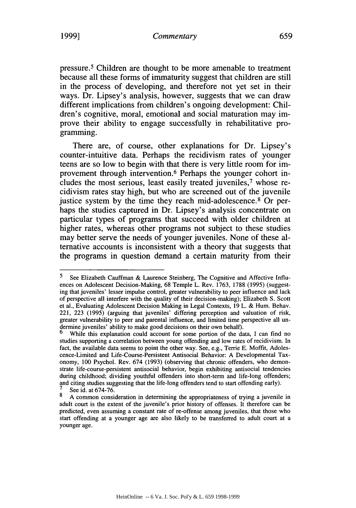#### 1999] *Commentary* 659

pressure. 5 Children are thought to be more amenable to treatment because all these forms of immaturity suggest that children are still in the process of developing, and therefore not yet set in their ways. Dr. Lipsey's analysis, however, suggests that we can draw different implications from children's ongoing development: Children's cognitive, moral, emotional and social maturation may improve their ability to engage successfully in rehabilitative programming.

There are, of course, other explanations for Dr. Lipsey's counter-intuitive data. Perhaps the recidivism rates of younger teens are so low to begin with that there is very little room for improvement through intervention. 6 Perhaps the younger cohort includes the most serious, least easily treated juveniles,7 whose recidivism rates stay high, but who are screened out of the juvenile justice system by the time they reach mid-adolescence.<sup>8</sup> Or perhaps the studies captured in Dr. Lipsey's analysis concentrate on particular types of programs that succeed with older children at higher rates, whereas other programs not subject to these studies may better serve the needs of younger juveniles. None of these alternative accounts is inconsistent with a theory that suggests that the programs in question demand a certain maturity from their

**<sup>5</sup>** See Elizabeth Cauffman & Laurence Steinberg, The Cognitive and Affective Influences on Adolescent Decision-Making, 68 Temple L. Rev. 1763, 1788 (1995) (suggesting that juveniles' lesser impulse control, greater vulnerability to peer influence and lack of perspective all interfere with the quality of their decision-making); Elizabeth S. Scott et al., Evaluating Adolescent Decision Making in Legal Contexts, 19 L. & Hum. Behav. 221, 223 (1995) (arguing that juveniles' differing perception and valuation of risk, greater vulnerability to peer and parental influence, and limited time perspective all undermine juveniles' ability to make good decisions on their own behalf).

While this explanation could account for some portion of the data, I can find no studies supporting a correlation between young offending and low rates of recidivism. In fact, the available data seems to point the other way. See, e.g., Terrie E. Moffit, Adolescence-Limited and Life-Course-Persistent Antisocial Behavior: A Developmental Taxonomy, 100 Psychol. Rev. 674 (1993) (observing that chronic offenders, who demonstrate life-course-persistent antisocial behavior, begin exhibiting antisocial tendencies during childhood; dividing youthful offenders into short-term and life-long offenders; and citing studies suggesting that the life-long offenders tend to start offending early). See id. at  $674-76$ .

<sup>8</sup> A common consideration in determining the appropriateness of trying a juvenile in adult court is the extent of the juvenile's prior history of offenses. It therefore can be predicted, even assuming a constant rate of re-offense among juveniles, that those who start offending at a younger age are also likely to be transferred to adult court at a younger age.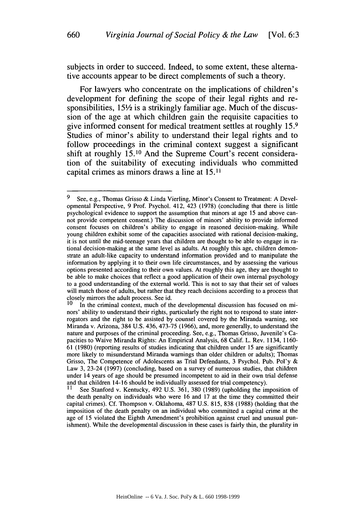subjects in order to succeed. Indeed, to some extent, these alternative accounts appear to be direct complements of such a theory.

For lawyers who concentrate on the implications of children's development for defining the scope of their legal rights and responsibilities,  $15\frac{1}{2}$  is a strikingly familiar age. Much of the discussion of the age at which children gain the requisite capacities to give informed consent for medical treatment settles at roughly **15. <sup>9</sup>** Studies of minor's ability to understand their legal rights and to follow proceedings in the criminal context suggest a significant shift at roughly **15.10** And the Supreme Court's recent consideration of the suitability of executing individuals who committed capital crimes as minors draws a line at **15.11**

**<sup>9</sup>** See, e.g., Thomas Grisso & Linda Vierling, Minor's Consent to Treatment: A Developmental Perspective, 9 Prof. Psychol. 412, 423 (1978) (concluding that there is little psychological evidence to support the assumption that minors at age 15 and above cannot provide competent consent.) The discussion of minors' ability to provide informed consent focuses on children's ability to engage in reasoned decision-making. While young children exhibit some of the capacities associated with rational decision-making, it is not until the mid-teenage years that children are thought to be able to engage in rational decision-making at the same level as adults. At roughly this age, children demonstrate an adult-like capacity to understand information provided and to manipulate the information by applying it to their own life circumstances, and by assessing the various options presented according to their own values. At roughly this age, they are thought to be able to make choices that reflect a good application of their own internal psychology to a good understanding of the external world. This is not to say that their set of values will match those of adults, but rather that they reach decisions according to a process that closely mirrors the adult process. See id.

In the criminal context, much of the developmental discussion has focused on minors' ability to understand their rights, particularly the right not to respond to state interrogators and the right to be assisted by counsel covered by the Miranda warning, see Miranda v. Arizona, 384 U.S. 436, 473-75 (1966), and, more generally, to understand the nature and purposes of the criminal proceeding. See, e.g., Thomas Grisso, Juvenile's Capacities to Waive Miranda Rights: An Empirical Analysis, 68 Calif. L. Rev. 1134, 1160- 61 (1980) (reporting results of studies indicating that children under 15 are significantly more likely to misunderstand Miranda warnings than older children or adults); Thomas Grisso, The Competence of Adolescents as Trial Defendants, 3 Psychol. Pub. Pol'y & Law 3, 23-24 (1997) (concluding, based on a survey of numerous studies, that children under 14 years of age should be presumed incompetent to aid in their own trial defense and that children 14-16 should be individually assessed for trial competency).

See Stanford v. Kentucky, 492 U.S. 361, 380 (1989) (upholding the imposition of the death penalty on individuals who were 16 and 17 at the time they committed their capital crimes). Cf. Thompson v. Oklahoma, 487 U.S. 815, 838 (1988) (holding that the imposition of the death penalty on an individual who committed a capital crime at the age of 15 violated the Eighth Amendment's prohibition against cruel and unusual punishment). While the developmental discussion in these cases is fairly thin, the plurality in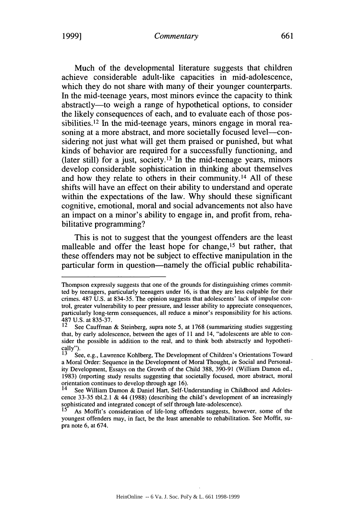#### 1999] *Commentary* 661

Much of the developmental literature suggests that children achieve considerable adult-like capacities in mid-adolescence, which they do not share with many of their younger counterparts. In the mid-teenage years, most minors evince the capacity to think abstractly-to weigh a range of hypothetical options, to consider the likely consequences of each, and to evaluate each of those possibilities.<sup>12</sup> In the mid-teenage years, minors engage in moral reasoning at a more abstract, and more societally focused level---considering not just what will get them praised or punished, but what kinds of behavior are required for a successfully functioning, and (later still) for a just, society.13 In the mid-teenage years, minors develop considerable sophistication in thinking about themselves and how they relate to others in their community. 14 All of these shifts will have an effect on their ability to understand and operate within the expectations of the law. Why should these significant cognitive, emotional, moral and social advancements not also have an impact on a minor's ability to engage in, and profit from, rehabilitative programming?

This is not to suggest that the youngest offenders are the least malleable and offer the least hope for change, 15 but rather, that these offenders may not be subject to effective manipulation in the particular form in question—namely the official public rehabilita-

Thompson expressly suggests that one of the grounds for distinguishing crimes committed by teenagers, particularly teenagers under 16, is that they are less culpable for their crimes. 487 U.S. at 834-35. The opinion suggests that adolescents' lack of impulse control, greater vulnerability to peer pressure, and lesser ability to appreciate consequences, particularly long-term consequences, all reduce a minor's responsibility for his actions. 487 U.S. at 835-37.

See Cauffman & Steinberg, supra note 5, at 1768 (summarizing studies suggesting that, by early adolescence, between the ages of 11 and 14, "adolescents are able to consider the possible in addition to the real, and to think both abstractly and hypothetically").

See, e.g., Lawrence Kohlberg, The Development of Children's Orientations Toward a Moral Order: Sequence in the Development of Moral Thought, *in* Social and Personality Development, Essays on the Growth of the Child 388, 390-91 (William Damon ed., 1983) (reporting study results suggesting that societally focused, more abstract, moral orientation continues to develop through age 16).

See William Damon & Daniel Hart, Self-Understanding in Childhood and Adolescence 33-35 tbl.2.1 & 44 (1988) (describing the child's development of an increasingly sophisticated and integrated concept of self through late-adolescence).

As Moffit's consideration of life-long offenders suggests, however, some of the youngest offenders may, in fact, be the least amenable to rehabilitation. See Moffit, supra note 6, at 674.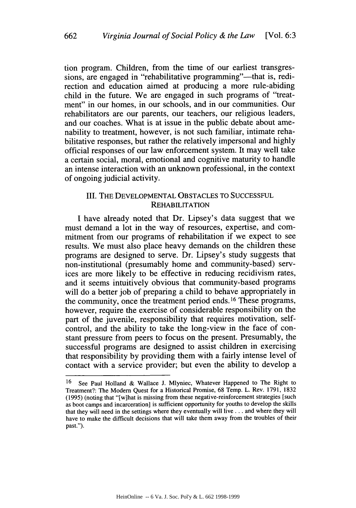tion program. Children, from the time of our earliest transgressions, are engaged in "rehabilitative programming"—that is, redirection and education aimed at producing a more rule-abiding child in the future. We are engaged in such programs of "treatment" in our homes, in our schools, and in our communities. Our rehabilitators are our parents, our teachers, our religious leaders, and our coaches. What is at issue in the public debate about amenability to treatment, however, is not such familiar, intimate rehabilitative responses, but rather the relatively impersonal and highly official responses of our law enforcement system. It may well take a certain social, moral, emotional and cognitive maturity to handle an intense interaction with an unknown professional, in the context of ongoing judicial activity.

# III. THE DEVELOPMENTAL OBSTACLES TO SUCCESSFUL REHABILITATION

I have already noted that Dr. Lipsey's data suggest that we must demand a lot in the way of resources, expertise, and commitment from our programs of rehabilitation if we expect to see results. We must also place heavy demands on the children these programs are designed to serve. Dr. Lipsey's study suggests that non-institutional (presumably home and community-based) services are more likely to be effective in reducing recidivism rates, and it seems intuitively obvious that community-based programs will do a better job of preparing a child to behave appropriately in the community, once the treatment period ends. **1 <sup>6</sup>**These programs, however, require the exercise of considerable responsibility on the part of the juvenile, responsibility that requires motivation, selfcontrol, and the ability to take the long-view in the face of constant pressure from peers to focus on the present. Presumably, the successful programs are designed to assist children in exercising that responsibility by providing them with a fairly intense level of contact with a service provider; but even the ability to develop a

<sup>16</sup> See Paul Holland & Wallace J. Mlyniec, Whatever Happened to The Right to Treatment?: The Modem Quest for a Historical Promise, 68 Temp. L. Rev. 1791, 1832 (1995) (noting that "[w]hat is missing from these negative-reinforcement strategies [such as boot camps and incarceration] is sufficient opportunity for youths to develop the skills that they will need in the settings where they eventually will live **...** and where they will have to make the difficult decisions that will take them away from the troubles of their past.").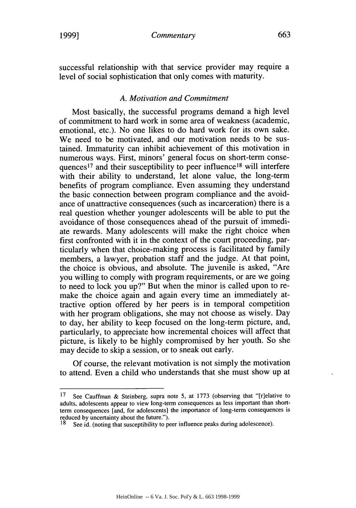*Commentary* **1999] 663**

successful relationship with that service provider may require a level of social sophistication that only comes with maturity.

# *A. Motivation and Commitment*

Most basically, the successful programs demand a high level of commitment to hard work in some area of weakness (academic, emotional, etc.). No one likes to do hard work for its own sake. We need to be motivated, and our motivation needs to be sustained. Immaturity can inhibit achievement of this motivation in numerous ways. First, minors' general focus on short-term consequences<sup>17</sup> and their susceptibility to peer influence<sup>18</sup> will interfere with their ability to understand, let alone value, the long-term benefits of program compliance. Even assuming they understand the basic connection between program compliance and the avoidance of unattractive consequences (such as incarceration) there is a real question whether younger adolescents will be able to put the avoidance of those consequences ahead of the pursuit of immediate rewards. Many adolescents will make the right choice when first confronted with it in the context of the court proceeding, particularly when that choice-making process is facilitated by family members, a lawyer, probation staff and the judge. At that point, the choice is obvious, and absolute. The juvenile is asked, "Are you willing to comply with program requirements, or are we going to need to lock you up?" But when the minor is called upon to remake the choice again and again every time an immediately attractive option offered by her peers is in temporal competition with her program obligations, she may not choose as wisely. Day to day, her ability to keep focused on the long-term picture, and, particularly, to appreciate how incremental choices will affect that picture, is likely to be highly compromised by her youth. So she may decide to skip a session, or to sneak out early.

Of course, the relevant motivation is not simply the motivation to attend. Even a child who understands that she must show up at

<sup>17</sup> See Cauffman & Steinberg, supra note 5, at 1773 (observing that "[r]elative to adults, adolescents appear to view long-term consequences as less important than shortterm consequences [and, for adolescents] the importance of long-term consequences is reduced by uncertainty about the future.").<br><sup>18</sup> See id. (noting that susceptibility to peer influence peaks during adolescence).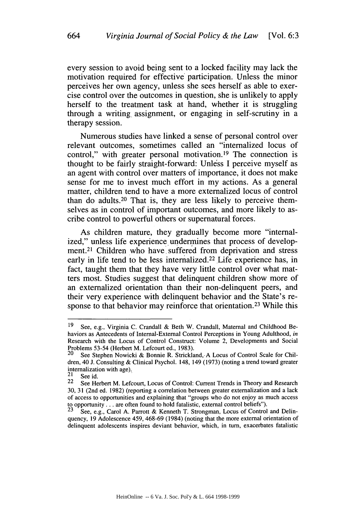every session to avoid being sent to a locked facility may lack the motivation required for effective participation. Unless the minor perceives her own agency, unless she sees herself as able to exercise control over the outcomes in question, she is unlikely to apply herself to the treatment task at hand, whether it is struggling through a writing assignment, or engaging in self-scrutiny in a therapy session.

Numerous studies have linked a sense of personal control over relevant outcomes, sometimes called an "internalized locus of control," with greater personal motivation.<sup>19</sup> The connection is thought to be fairly straight-forward: Unless I perceive myself as an agent with control over matters of importance, it does not make sense for me to invest much effort in my actions. As a general matter, children tend to have a more externalized locus of control than do adults.<sup>20</sup> That is, they are less likely to perceive themselves as in control of important outcomes, and more likely to ascribe control to powerful others or supernatural forces.

As children mature, they gradually become more "internalized," unless life experience undermines that process of development.<sup>21</sup> Children who have suffered from deprivation and stress early in life tend to be less internalized.<sup>22</sup> Life experience has, in fact, taught them that they have very little control over what matters most. Studies suggest that delinquent children show more of an externalized orientation than their non-delinquent peers, and their very experience with delinquent behavior and the State's response to that behavior may reinforce that orientation.<sup>23</sup> While this

<sup>19</sup> See, e.g., Virginia C. Crandall & Beth W. Crandall, Maternal and Childhood Behaviors as Antecedents of Internal-External Control Perceptions in Young Adulthood, *in* Research with the Locus of Control Construct: Volume 2, Developments and Social Problems 53-54 (Herbert M. Lefcourt ed., 1983).<br>20 See Stephen Nowicki & Bonnie R. Strickla

See Stephen Nowicki & Bonnie R. Strickland, A Locus of Control Scale for Children, 40 J. Consulting & Clinical Psychol. 148, 149 (1973) (noting a trend toward greater internalization with age).<br> $21$  See id.

<sup>22</sup> See Herbert M. Lefcourt, Locus of Control: Current Trends in Theory and Research 30, 31 (2nd ed. 1982) (reporting a correlation between greater externalization and a lack of access to opportunities and explaining that "groups who do not enjoy as much access to opportunity  $\ldots$  are often found to hold fatalistic, external control beliefs").

See, e.g., Carol A. Parrott & Kenneth T. Strongman, Locus of Control and Delinquency, 19 Adolescence 459, 468-69 (1984) (noting that the more external orientation of delinquent adolescents inspires deviant behavior, which, in turn, exacerbates fatalistic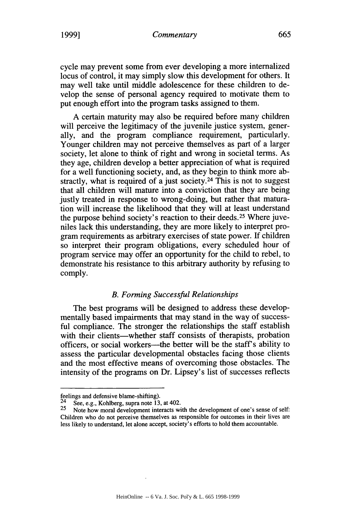cycle may prevent some from ever developing a more internalized locus of control, it may simply slow this development for others. It may well take until middle adolescence for these children to develop the sense of personal agency required to motivate them to put enough effort into the program tasks assigned to them.

A certain maturity may also be required before many children will perceive the legitimacy of the juvenile justice system, generally, and the program compliance requirement, particularly. Younger children may not perceive themselves as part of a larger society, let alone to think of right and wrong in societal terms. As they age, children develop a better appreciation of what is required for a well functioning society, and, as they begin to think more abstractly, what is required of a just society.<sup>24</sup> This is not to suggest that all children will mature into a conviction that they are being justly treated in response to wrong-doing, but rather that maturation will increase the likelihood that they will at least understand the purpose behind society's reaction to their deeds. 25 Where juveniles lack this understanding, they are more likely to interpret program requirements as arbitrary exercises of state power. If children so interpret their program obligations, every scheduled hour of program service may offer an opportunity for the child to rebel, to demonstrate his resistance to this arbitrary authority by refusing to comply.

# *B. Forming Successful Relationships*

The best programs will be designed to address these developmentally based impairments that may stand in the way of successful compliance. The stronger the relationships the staff establish with their clients—whether staff consists of therapists, probation officers, or social workers—the better will be the staff's ability to assess the particular developmental obstacles facing those clients and the most effective means of overcoming those obstacles. The intensity of the programs on Dr. Lipsey's list of successes reflects

feelings and defensive blame-shifting).<br><sup>24</sup> See, e.g., Kohlberg, supra note 13, at 402.

<sup>25</sup> Note how moral development interacts with the development of one's sense of self: Children who do not perceive themselves as responsible for outcomes in their lives are less likely to understand, let alone accept, society's efforts to hold them accountable.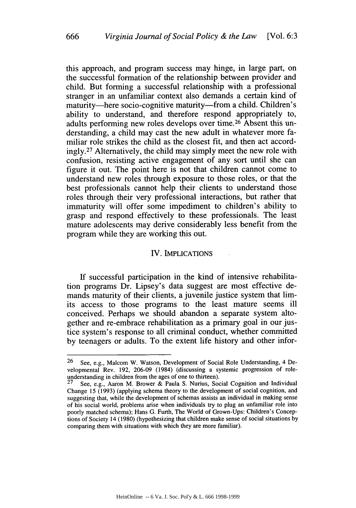this approach, and program success may hinge, in large part, on the successful formation of the relationship between provider and child. But forming a successful relationship with a professional stranger in an unfamiliar context also demands a certain kind of maturity-here socio-cognitive maturity-from a child. Children's ability to understand, and therefore respond appropriately to, adults performing new roles develops over time.<sup>26</sup> Absent this understanding, a child may cast the new adult in whatever more familiar role strikes the child as the closest fit, and then act accordingly.<sup>27</sup> Alternatively, the child may simply meet the new role with confusion, resisting active engagement of any sort until she can figure it out. The point here is not that children cannot come to understand new roles through exposure to those roles, or that the best professionals cannot help their clients to understand those roles through their very professional interactions, but rather that immaturity will offer some impediment to children's ability to grasp and respond effectively to these professionals. The least mature adolescents may derive considerably less benefit from the program while they are working this out.

#### IV. IMPLICATIONS

If successful participation in the kind of intensive rehabilitation programs Dr. Lipsey's data suggest are most effective demands maturity of their clients, a juvenile justice system that limits access to those programs to the least mature seems ill conceived. Perhaps we should abandon a separate system altogether and re-embrace rehabilitation as a primary goal in our justice system's response to all criminal conduct, whether committed by teenagers or adults. To the extent life history and other infor-

<sup>26</sup> See, e.g., Malcom W. Watson, Development of Social Role Understanding, 4 Developmental Rev. 192, 206-09 (1984) (discussing a systemic progression of roleunderstanding in children from the ages of one to thirteen).<br>  $27 \text{ See } 25 \text{ A}$ 

See, e.g., Aaron M. Brower & Paula S. Nurius, Social Cognition and Individual Change 15 (1993) (applying schema theory to the development of social cognition, and suggesting that, while the development of schemas assists an individual in making sense of his social world, problems arise when individuals try to plug an unfamiliar role into poorly matched schema); Hans G. Furth, The World of Grown-Ups: Children's Conceptions of Society 14 (1980) (hypothesizing that children make sense of social situations by comparing them with situations with which they are more familiar).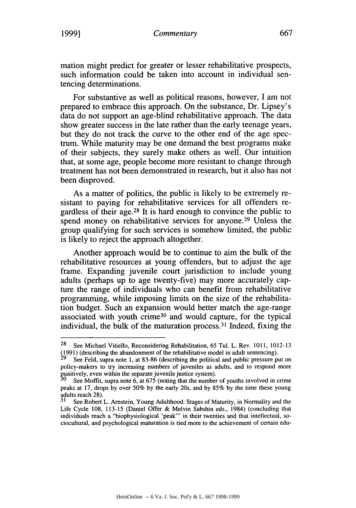mation might predict for greater or lesser rehabilitative prospects, such information could be taken into account in individual sentencing determinations.

For substantive as well as political reasons, however, I am not prepared to embrace this approach. On the substance, Dr. Lipsey's data do not support an age-blind rehabilitative approach. The data show greater success in the late rather than the early teenage years, but they do not track the curve to the other end of the age spectrum. While maturity may be one demand the best programs make of their subjects, they surely make others as well. Our intuition that, at some age, people become more resistant to change through treatment has not been demonstrated in research, but it also has not been disproved.

As a matter of politics, the public is likely to be extremely resistant to paying for rehabilitative services for all offenders regardless of their age.28 It is hard enough to convince the public to spend money on rehabilitative services for anyone.<sup>29</sup> Unless the group qualifying for such services is somehow limited, the public is likely to reject the approach altogether.

Another approach would be to continue to aim the bulk of the rehabilitative resources at young offenders, but to adjust the age frame. Expanding juvenile court jurisdiction to include young adults (perhaps up to age twenty-five) may more accurately capture the range of individuals who can benefit from rehabilitative programming, while imposing limits on the size of the rehabilitation budget. Such an expansion would better match the age-range associated with youth crime<sup>30</sup> and would capture, for the typical individual, the bulk of the maturation process. 31 Indeed, fixing the

<sup>28</sup> See Michael Vitiello, Reconsidering Rehabilitation, 65 Tul. L. Rev. 1011, 1012-13 t1991) (describing the abandonment of the rehabilitative model in adult sentencing).

**<sup>9</sup>** See Feld, supra note 1, at 83-86 (describing the political and public pressure put on policy-makers to try increasing numbers of juveniles as adults, and to respond more punitively, even within the separate juvenile justice system).

See Moffit, supra note 6, at 675 (noting that the number of youths involved in crime peaks at 17, drops by over 50% by the early 20s, and by 85% by the time these young adults reach 28).

See Robert L. Arnstein, Young Adulthood: Stages of Maturity, in Normality and the Life Cycle 108, 113-15 (Daniel Offer & Melvin Sabshin eds., 1984) (concluding that individuals reach a "biophysiological 'peak'" in their twenties and that intellectual, sociocultural, and psychological maturation is tied more to the achievement of certain edu-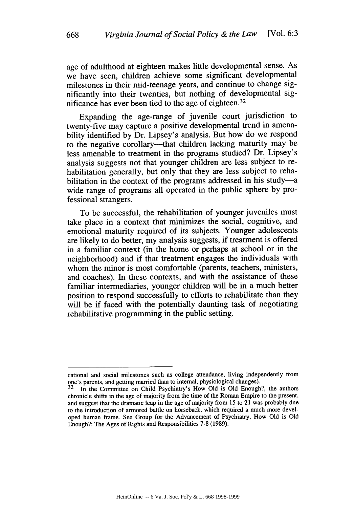age of adulthood at eighteen makes little developmental sense. As we have seen, children achieve some significant developmental milestones in their mid-teenage years, and continue to change significantly into their twenties, but nothing of developmental significance has ever been tied to the age of eighteen. <sup>32</sup>

Expanding the age-range of juvenile court jurisdiction to twenty-five may capture a positive developmental trend in amenability identified by Dr. Lipsey's analysis. But how do we respond to the negative corollary---that children lacking maturity may be less amenable to treatment in the programs studied? Dr. Lipsey's analysis suggests not that younger children are less subject to rehabilitation generally, but only that they are less subject to rehabilitation in the context of the programs addressed in his study-a wide range of programs all operated in the public sphere by professional strangers.

To be successful, the rehabilitation of younger juveniles must take place in a context that minimizes the social, cognitive, and emotional maturity required of its subjects. Younger adolescents are likely to do better, my analysis suggests, if treatment is offered in a familiar context (in the home or perhaps at school or in the neighborhood) and if that treatment engages the individuals with whom the minor is most comfortable (parents, teachers, ministers, and coaches). In these contexts, and with the assistance of these familiar intermediaries, younger children will be in a much better position to respond successfully to efforts to rehabilitate than they will be if faced with the potentially daunting task of negotiating rehabilitative programming in the public setting.

cational and social milestones such as college attendance, living independently from one's parents, and getting married than to internal, physiological changes).<br> $32$  In the Committee on Child Psychiatry's How Old is Old Enough?, the authors

chronicle shifts in the age of majority from the time of the Roman Empire to the present, and suggest that the dramatic leap in the age of majority from 15 to 21 was probably due to the introduction of armored battle on horseback, which required a much more developed human frame. See Group for the Advancement of Psychiatry, How Old is Old Enough?: The Ages of Rights and Responsibilities 7-8 (1989).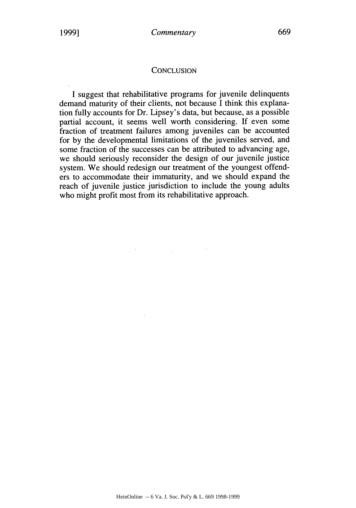### **CONCLUSION**

I suggest that rehabilitative programs for juvenile delinquents demand maturity of their clients, not because I think this explanation fully accounts for Dr. Lipsey's data, but because, as a possible partial account, it seems well worth considering. If even some fraction of treatment failures among juveniles can be accounted for by the developmental limitations of the juveniles served, and some fraction of the successes can be attributed to advancing age, we should seriously reconsider the design of our juvenile justice system. We should redesign our treatment of the youngest offenders to accommodate their immaturity, and we should expand the reach of juvenile justice jurisdiction to include the young adults who might profit most from its rehabilitative approach.